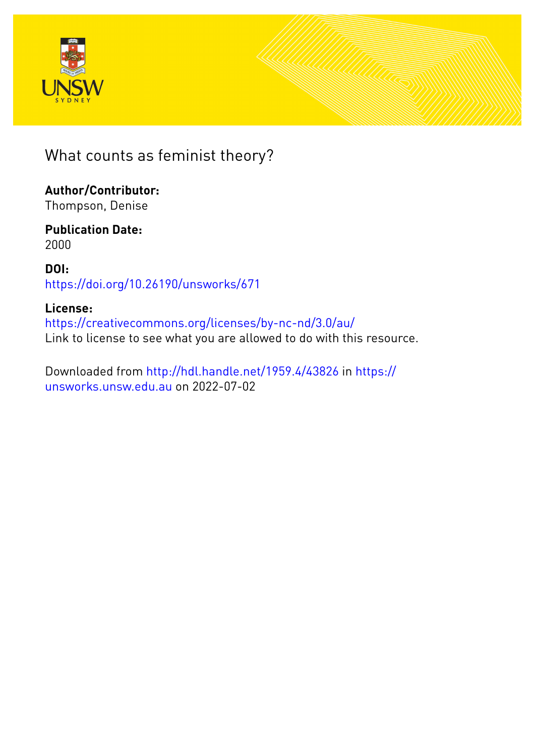



What counts as feminist theory?

**Author/Contributor:** Thompson, Denise

**Publication Date:** 2000

**DOI:** [https://doi.org/10.26190/unsworks/671](http://dx.doi.org/https://doi.org/10.26190/unsworks/671)

#### **License:**

<https://creativecommons.org/licenses/by-nc-nd/3.0/au/> Link to license to see what you are allowed to do with this resource.

Downloaded from <http://hdl.handle.net/1959.4/43826> in [https://](https://unsworks.unsw.edu.au) [unsworks.unsw.edu.au](https://unsworks.unsw.edu.au) on 2022-07-02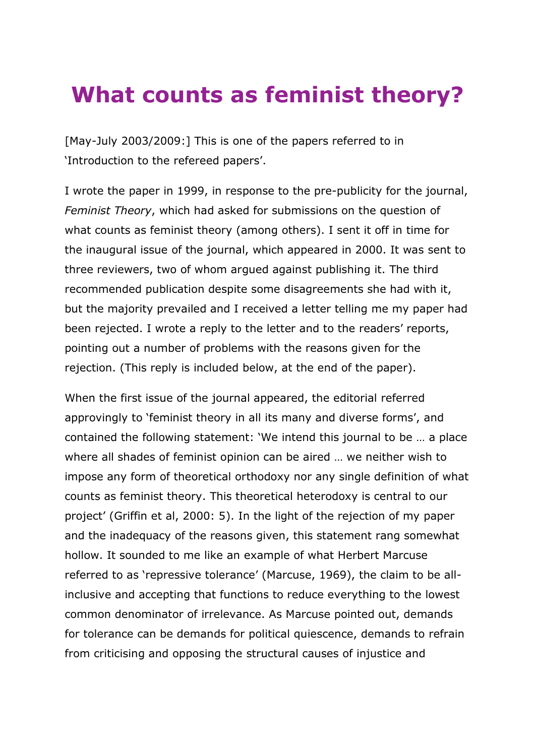# **What counts as feminist theory?**

[May-July 2003/2009:] This is one of the papers referred to in 'Introduction to the refereed papers'.

I wrote the paper in 1999, in response to the pre-publicity for the journal, *Feminist Theory*, which had asked for submissions on the question of what counts as feminist theory (among others). I sent it off in time for the inaugural issue of the journal, which appeared in 2000. It was sent to three reviewers, two of whom argued against publishing it. The third recommended publication despite some disagreements she had with it, but the majority prevailed and I received a letter telling me my paper had been rejected. I wrote a reply to the letter and to the readers' reports, pointing out a number of problems with the reasons given for the rejection. (This reply is included below, at the end of the paper).

When the first issue of the journal appeared, the editorial referred approvingly to 'feminist theory in all its many and diverse forms', and contained the following statement: 'We intend this journal to be … a place where all shades of feminist opinion can be aired … we neither wish to impose any form of theoretical orthodoxy nor any single definition of what counts as feminist theory. This theoretical heterodoxy is central to our project' (Griffin et al, 2000: 5). In the light of the rejection of my paper and the inadequacy of the reasons given, this statement rang somewhat hollow. It sounded to me like an example of what Herbert Marcuse referred to as 'repressive tolerance' (Marcuse, 1969), the claim to be allinclusive and accepting that functions to reduce everything to the lowest common denominator of irrelevance. As Marcuse pointed out, demands for tolerance can be demands for political quiescence, demands to refrain from criticising and opposing the structural causes of injustice and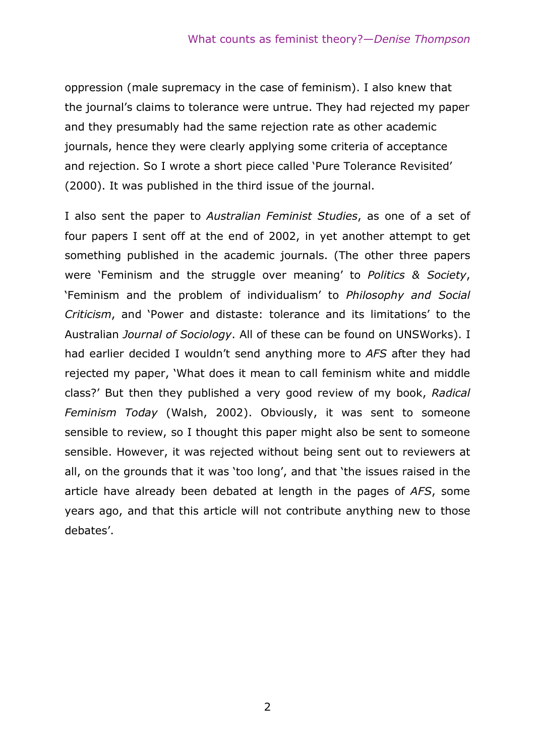oppression (male supremacy in the case of feminism). I also knew that the journal's claims to tolerance were untrue. They had rejected my paper and they presumably had the same rejection rate as other academic journals, hence they were clearly applying some criteria of acceptance and rejection. So I wrote a short piece called 'Pure Tolerance Revisited' (2000). It was published in the third issue of the journal.

I also sent the paper to *Australian Feminist Studies*, as one of a set of four papers I sent off at the end of 2002, in yet another attempt to get something published in the academic journals. (The other three papers were 'Feminism and the struggle over meaning' to *Politics & Society*, 'Feminism and the problem of individualism' to *Philosophy and Social Criticism*, and 'Power and distaste: tolerance and its limitations' to the Australian *Journal of Sociology*. All of these can be found on UNSWorks). I had earlier decided I wouldn't send anything more to *AFS* after they had rejected my paper, 'What does it mean to call feminism white and middle class?' But then they published a very good review of my book, *Radical Feminism Today* (Walsh, 2002). Obviously, it was sent to someone sensible to review, so I thought this paper might also be sent to someone sensible. However, it was rejected without being sent out to reviewers at all, on the grounds that it was 'too long', and that 'the issues raised in the article have already been debated at length in the pages of *AFS*, some years ago, and that this article will not contribute anything new to those debates'.

2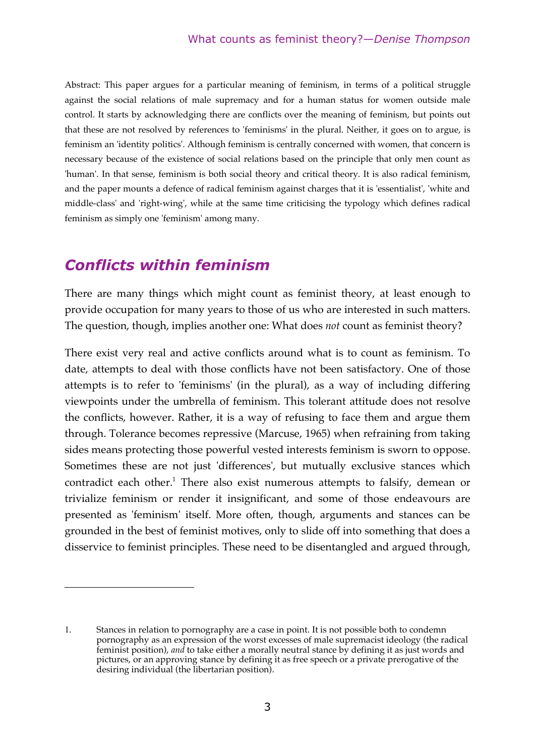Abstract: This paper argues for a particular meaning of feminism, in terms of a political struggle against the social relations of male supremacy and for a human status for women outside male control. It starts by acknowledging there are conflicts over the meaning of feminism, but points out that these are not resolved by references to 'feminisms' in the plural. Neither, it goes on to argue, is feminism an 'identity politics'. Although feminism is centrally concerned with women, that concern is necessary because of the existence of social relations based on the principle that only men count as 'human'. In that sense, feminism is both social theory and critical theory. It is also radical feminism, and the paper mounts a defence of radical feminism against charges that it is 'essentialist', 'white and middle-class' and 'right-wing', while at the same time criticising the typology which defines radical feminism as simply one 'feminism' among many.

## *Conflicts within feminism*

<u>.</u>

There are many things which might count as feminist theory, at least enough to provide occupation for many years to those of us who are interested in such matters. The question, though, implies another one: What does *not* count as feminist theory?

There exist very real and active conflicts around what is to count as feminism. To date, attempts to deal with those conflicts have not been satisfactory. One of those attempts is to refer to 'feminisms' (in the plural), as a way of including differing viewpoints under the umbrella of feminism. This tolerant attitude does not resolve the conflicts, however. Rather, it is a way of refusing to face them and argue them through. Tolerance becomes repressive (Marcuse, 1965) when refraining from taking sides means protecting those powerful vested interests feminism is sworn to oppose. Sometimes these are not just 'differences', but mutually exclusive stances which contradict each other.<sup>1</sup> There also exist numerous attempts to falsify, demean or trivialize feminism or render it insignificant, and some of those endeavours are presented as 'feminism' itself. More often, though, arguments and stances can be grounded in the best of feminist motives, only to slide off into something that does a disservice to feminist principles. These need to be disentangled and argued through,

<sup>1</sup>. Stances in relation to pornography are a case in point. It is not possible both to condemn pornography as an expression of the worst excesses of male supremacist ideology (the radical feminist position), *and* to take either a morally neutral stance by defining it as just words and pictures, or an approving stance by defining it as free speech or a private prerogative of the desiring individual (the libertarian position).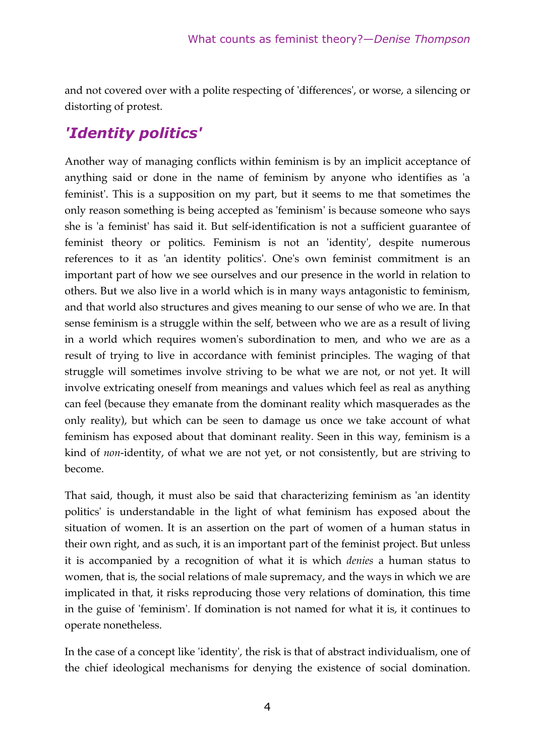and not covered over with a polite respecting of 'differences', or worse, a silencing or distorting of protest.

# *'Identity politics'*

Another way of managing conflicts within feminism is by an implicit acceptance of anything said or done in the name of feminism by anyone who identifies as 'a feminist'. This is a supposition on my part, but it seems to me that sometimes the only reason something is being accepted as 'feminism' is because someone who says she is 'a feminist' has said it. But self-identification is not a sufficient guarantee of feminist theory or politics. Feminism is not an 'identity', despite numerous references to it as 'an identity politics'. One's own feminist commitment is an important part of how we see ourselves and our presence in the world in relation to others. But we also live in a world which is in many ways antagonistic to feminism, and that world also structures and gives meaning to our sense of who we are. In that sense feminism is a struggle within the self, between who we are as a result of living in a world which requires women's subordination to men, and who we are as a result of trying to live in accordance with feminist principles. The waging of that struggle will sometimes involve striving to be what we are not, or not yet. It will involve extricating oneself from meanings and values which feel as real as anything can feel (because they emanate from the dominant reality which masquerades as the only reality), but which can be seen to damage us once we take account of what feminism has exposed about that dominant reality. Seen in this way, feminism is a kind of *non*-identity, of what we are not yet, or not consistently, but are striving to become.

That said, though, it must also be said that characterizing feminism as 'an identity politics' is understandable in the light of what feminism has exposed about the situation of women. It is an assertion on the part of women of a human status in their own right, and as such, it is an important part of the feminist project. But unless it is accompanied by a recognition of what it is which *denies* a human status to women, that is, the social relations of male supremacy, and the ways in which we are implicated in that, it risks reproducing those very relations of domination, this time in the guise of 'feminism'. If domination is not named for what it is, it continues to operate nonetheless.

In the case of a concept like 'identity', the risk is that of abstract individualism, one of the chief ideological mechanisms for denying the existence of social domination.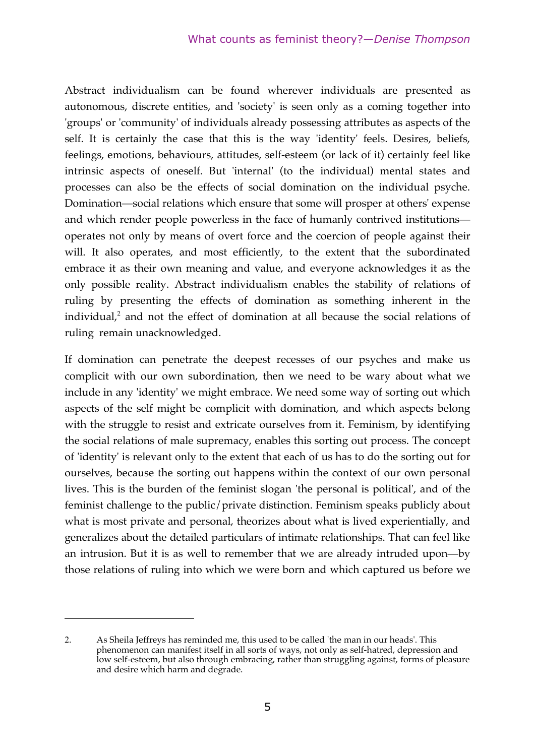Abstract individualism can be found wherever individuals are presented as autonomous, discrete entities, and 'society' is seen only as a coming together into 'groups' or 'community' of individuals already possessing attributes as aspects of the self. It is certainly the case that this is the way 'identity' feels. Desires, beliefs, feelings, emotions, behaviours, attitudes, self-esteem (or lack of it) certainly feel like intrinsic aspects of oneself. But 'internal' (to the individual) mental states and processes can also be the effects of social domination on the individual psyche. Domination—social relations which ensure that some will prosper at others' expense and which render people powerless in the face of humanly contrived institutions operates not only by means of overt force and the coercion of people against their will. It also operates, and most efficiently, to the extent that the subordinated embrace it as their own meaning and value, and everyone acknowledges it as the only possible reality. Abstract individualism enables the stability of relations of ruling by presenting the effects of domination as something inherent in the individual, <sup>2</sup> and not the effect of domination at all because the social relations of ruling remain unacknowledged.

If domination can penetrate the deepest recesses of our psyches and make us complicit with our own subordination, then we need to be wary about what we include in any 'identity' we might embrace. We need some way of sorting out which aspects of the self might be complicit with domination, and which aspects belong with the struggle to resist and extricate ourselves from it. Feminism, by identifying the social relations of male supremacy, enables this sorting out process. The concept of 'identity' is relevant only to the extent that each of us has to do the sorting out for ourselves, because the sorting out happens within the context of our own personal lives. This is the burden of the feminist slogan 'the personal is political', and of the feminist challenge to the public/private distinction. Feminism speaks publicly about what is most private and personal, theorizes about what is lived experientially, and generalizes about the detailed particulars of intimate relationships. That can feel like an intrusion. But it is as well to remember that we are already intruded upon—by those relations of ruling into which we were born and which captured us before we

<u>.</u>

<sup>2</sup>. As Sheila Jeffreys has reminded me, this used to be called 'the man in our heads'. This phenomenon can manifest itself in all sorts of ways, not only as self-hatred, depression and low self-esteem, but also through embracing, rather than struggling against, forms of pleasure and desire which harm and degrade.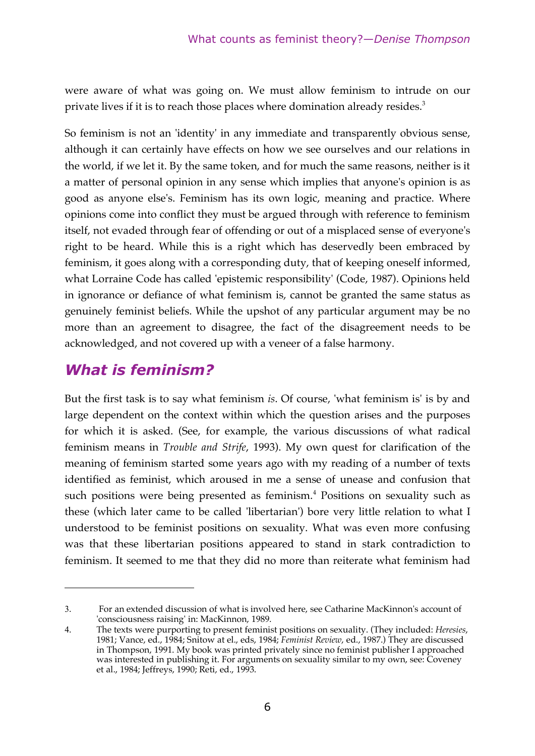were aware of what was going on. We must allow feminism to intrude on our private lives if it is to reach those places where domination already resides.<sup>3</sup>

So feminism is not an 'identity' in any immediate and transparently obvious sense, although it can certainly have effects on how we see ourselves and our relations in the world, if we let it. By the same token, and for much the same reasons, neither is it a matter of personal opinion in any sense which implies that anyone's opinion is as good as anyone else's. Feminism has its own logic, meaning and practice. Where opinions come into conflict they must be argued through with reference to feminism itself, not evaded through fear of offending or out of a misplaced sense of everyone's right to be heard. While this is a right which has deservedly been embraced by feminism, it goes along with a corresponding duty, that of keeping oneself informed, what Lorraine Code has called 'epistemic responsibility' (Code, 1987). Opinions held in ignorance or defiance of what feminism is, cannot be granted the same status as genuinely feminist beliefs. While the upshot of any particular argument may be no more than an agreement to disagree, the fact of the disagreement needs to be acknowledged, and not covered up with a veneer of a false harmony.

# *What is feminism?*

<u>.</u>

But the first task is to say what feminism *is*. Of course, 'what feminism is' is by and large dependent on the context within which the question arises and the purposes for which it is asked. (See, for example, the various discussions of what radical feminism means in *Trouble and Strife*, 1993). My own quest for clarification of the meaning of feminism started some years ago with my reading of a number of texts identified as feminist, which aroused in me a sense of unease and confusion that such positions were being presented as feminism.<sup>4</sup> Positions on sexuality such as these (which later came to be called 'libertarian') bore very little relation to what I understood to be feminist positions on sexuality. What was even more confusing was that these libertarian positions appeared to stand in stark contradiction to feminism. It seemed to me that they did no more than reiterate what feminism had

<sup>3</sup>. For an extended discussion of what is involved here, see Catharine MacKinnon's account of 'consciousness raising' in: MacKinnon, 1989.

<sup>4</sup>. The texts were purporting to present feminist positions on sexuality. (They included: *Heresies*, 1981; Vance, ed., 1984; Snitow at el., eds, 1984; *Feminist Review*, ed., 1987.) They are discussed in Thompson, 1991. My book was printed privately since no feminist publisher I approached was interested in publishing it. For arguments on sexuality similar to my own, see: Coveney et al., 1984; Jeffreys, 1990; Reti, ed., 1993.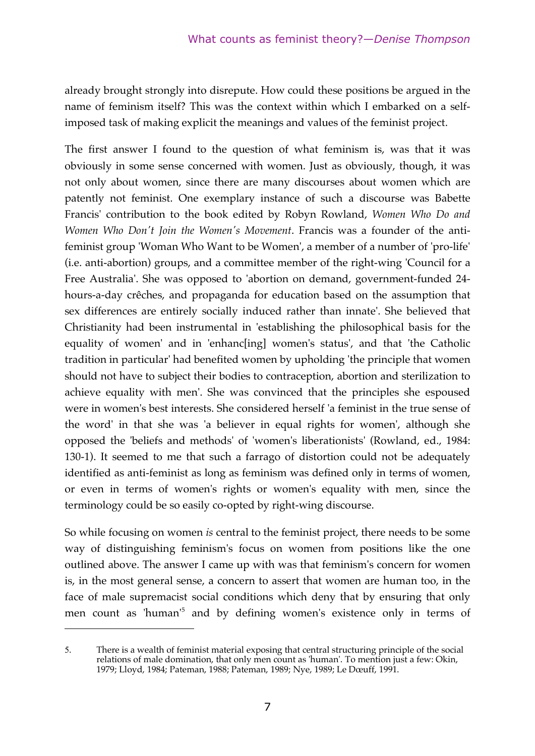already brought strongly into disrepute. How could these positions be argued in the name of feminism itself? This was the context within which I embarked on a selfimposed task of making explicit the meanings and values of the feminist project.

The first answer I found to the question of what feminism is, was that it was obviously in some sense concerned with women. Just as obviously, though, it was not only about women, since there are many discourses about women which are patently not feminist. One exemplary instance of such a discourse was Babette Francis' contribution to the book edited by Robyn Rowland, *Women Who Do and Women Who Don't Join the Women's Movement*. Francis was a founder of the antifeminist group 'Woman Who Want to be Women', a member of a number of 'pro-life' (i.e. anti-abortion) groups, and a committee member of the right-wing 'Council for a Free Australia'. She was opposed to 'abortion on demand, government-funded 24 hours-a-day crêches, and propaganda for education based on the assumption that sex differences are entirely socially induced rather than innate'. She believed that Christianity had been instrumental in 'establishing the philosophical basis for the equality of women' and in 'enhanc[ing] women's status', and that 'the Catholic tradition in particular' had benefited women by upholding 'the principle that women should not have to subject their bodies to contraception, abortion and sterilization to achieve equality with men'. She was convinced that the principles she espoused were in women's best interests. She considered herself 'a feminist in the true sense of the word' in that she was 'a believer in equal rights for women', although she opposed the 'beliefs and methods' of 'women's liberationists' (Rowland, ed., 1984: 130-1). It seemed to me that such a farrago of distortion could not be adequately identified as anti-feminist as long as feminism was defined only in terms of women, or even in terms of women's rights or women's equality with men, since the terminology could be so easily co-opted by right-wing discourse.

So while focusing on women *is* central to the feminist project, there needs to be some way of distinguishing feminism's focus on women from positions like the one outlined above. The answer I came up with was that feminism's concern for women is, in the most general sense, a concern to assert that women are human too, in the face of male supremacist social conditions which deny that by ensuring that only men count as 'human' <sup>5</sup> and by defining women's existence only in terms of

1

<sup>5</sup>. There is a wealth of feminist material exposing that central structuring principle of the social relations of male domination, that only men count as 'human'. To mention just a few: Okin, 1979; Lloyd, 1984; Pateman, 1988; Pateman, 1989; Nye, 1989; Le Dœuff, 1991.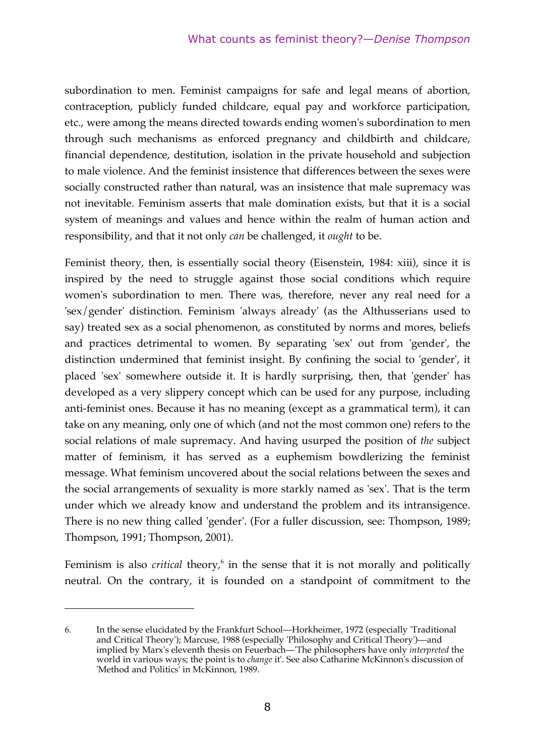subordination to men. Feminist campaigns for safe and legal means of abortion, contraception, publicly funded childcare, equal pay and workforce participation, etc., were among the means directed towards ending women's subordination to men through such mechanisms as enforced pregnancy and childbirth and childcare, financial dependence, destitution, isolation in the private household and subjection to male violence. And the feminist insistence that differences between the sexes were socially constructed rather than natural, was an insistence that male supremacy was not inevitable. Feminism asserts that male domination exists, but that it is a social system of meanings and values and hence within the realm of human action and responsibility, and that it not only *can* be challenged, it *ought* to be.

Feminist theory, then, is essentially social theory (Eisenstein, 1984: xiii), since it is inspired by the need to struggle against those social conditions which require women's subordination to men. There was, therefore, never any real need for a 'sex/gender' distinction. Feminism 'always already' (as the Althusserians used to say) treated sex as a social phenomenon, as constituted by norms and mores, beliefs and practices detrimental to women. By separating 'sex' out from 'gender', the distinction undermined that feminist insight. By confining the social to 'gender', it placed 'sex' somewhere outside it. It is hardly surprising, then, that 'gender' has developed as a very slippery concept which can be used for any purpose, including anti-feminist ones. Because it has no meaning (except as a grammatical term), it can take on any meaning, only one of which (and not the most common one) refers to the social relations of male supremacy. And having usurped the position of *the* subject matter of feminism, it has served as a euphemism bowdlerizing the feminist message. What feminism uncovered about the social relations between the sexes and the social arrangements of sexuality is more starkly named as 'sex'. That is the term under which we already know and understand the problem and its intransigence. There is no new thing called 'gender'. (For a fuller discussion, see: Thompson, 1989; Thompson, 1991; Thompson, 2001).

Feminism is also *critical* theory, <sup>6</sup> in the sense that it is not morally and politically neutral. On the contrary, it is founded on a standpoint of commitment to the

1

<sup>6</sup>. In the sense elucidated by the Frankfurt School—Horkheimer, 1972 (especially 'Traditional and Critical Theory'); Marcuse, 1988 (especially 'Philosophy and Critical Theory')—and implied by Marx's eleventh thesis on Feuerbach—'The philosophers have only *interpreted* the world in various ways; the point is to *change* it'. See also Catharine McKinnon's discussion of 'Method and Politics' in McKinnon, 1989.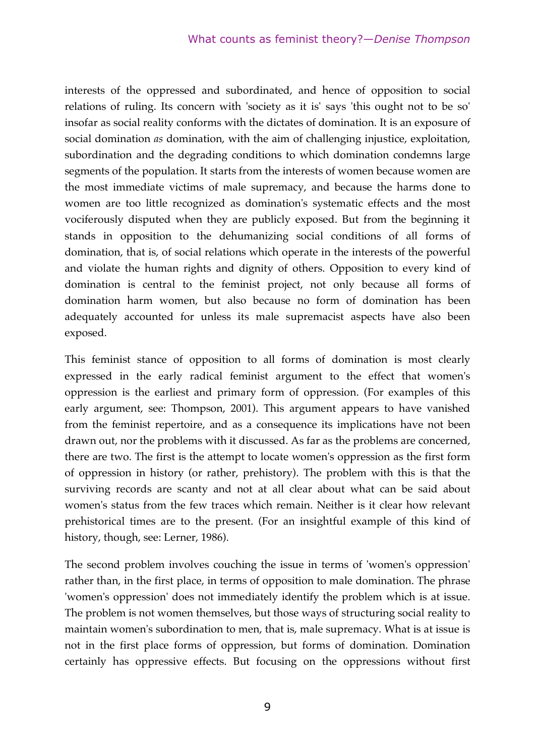interests of the oppressed and subordinated, and hence of opposition to social relations of ruling. Its concern with 'society as it is' says 'this ought not to be so' insofar as social reality conforms with the dictates of domination. It is an exposure of social domination *as* domination, with the aim of challenging injustice, exploitation, subordination and the degrading conditions to which domination condemns large segments of the population. It starts from the interests of women because women are the most immediate victims of male supremacy, and because the harms done to women are too little recognized as domination's systematic effects and the most vociferously disputed when they are publicly exposed. But from the beginning it stands in opposition to the dehumanizing social conditions of all forms of domination, that is, of social relations which operate in the interests of the powerful and violate the human rights and dignity of others. Opposition to every kind of domination is central to the feminist project, not only because all forms of domination harm women, but also because no form of domination has been adequately accounted for unless its male supremacist aspects have also been exposed.

This feminist stance of opposition to all forms of domination is most clearly expressed in the early radical feminist argument to the effect that women's oppression is the earliest and primary form of oppression. (For examples of this early argument, see: Thompson, 2001). This argument appears to have vanished from the feminist repertoire, and as a consequence its implications have not been drawn out, nor the problems with it discussed. As far as the problems are concerned, there are two. The first is the attempt to locate women's oppression as the first form of oppression in history (or rather, prehistory). The problem with this is that the surviving records are scanty and not at all clear about what can be said about women's status from the few traces which remain. Neither is it clear how relevant prehistorical times are to the present. (For an insightful example of this kind of history, though, see: Lerner, 1986).

The second problem involves couching the issue in terms of 'women's oppression' rather than, in the first place, in terms of opposition to male domination. The phrase 'women's oppression' does not immediately identify the problem which is at issue. The problem is not women themselves, but those ways of structuring social reality to maintain women's subordination to men, that is, male supremacy. What is at issue is not in the first place forms of oppression, but forms of domination. Domination certainly has oppressive effects. But focusing on the oppressions without first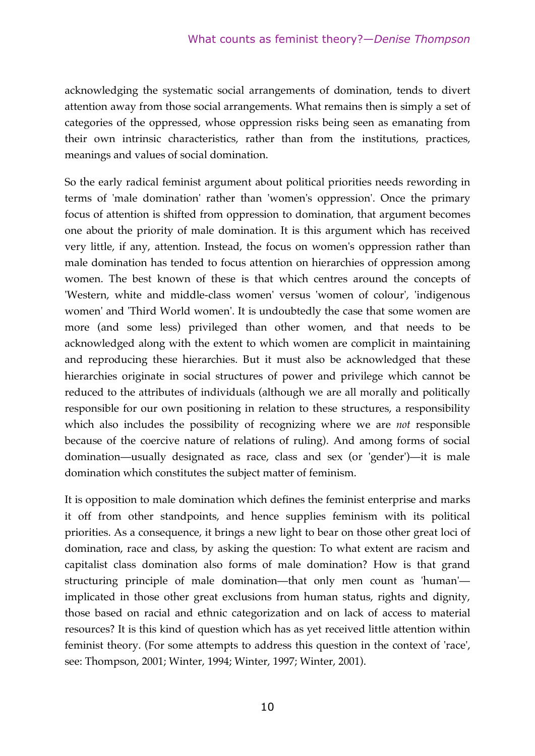acknowledging the systematic social arrangements of domination, tends to divert attention away from those social arrangements. What remains then is simply a set of categories of the oppressed, whose oppression risks being seen as emanating from their own intrinsic characteristics, rather than from the institutions, practices, meanings and values of social domination.

So the early radical feminist argument about political priorities needs rewording in terms of 'male domination' rather than 'women's oppression'. Once the primary focus of attention is shifted from oppression to domination, that argument becomes one about the priority of male domination. It is this argument which has received very little, if any, attention. Instead, the focus on women's oppression rather than male domination has tended to focus attention on hierarchies of oppression among women. The best known of these is that which centres around the concepts of 'Western, white and middle-class women' versus 'women of colour', 'indigenous women' and 'Third World women'. It is undoubtedly the case that some women are more (and some less) privileged than other women, and that needs to be acknowledged along with the extent to which women are complicit in maintaining and reproducing these hierarchies. But it must also be acknowledged that these hierarchies originate in social structures of power and privilege which cannot be reduced to the attributes of individuals (although we are all morally and politically responsible for our own positioning in relation to these structures, a responsibility which also includes the possibility of recognizing where we are *not* responsible because of the coercive nature of relations of ruling). And among forms of social domination—usually designated as race, class and sex (or 'gender')—it is male domination which constitutes the subject matter of feminism.

It is opposition to male domination which defines the feminist enterprise and marks it off from other standpoints, and hence supplies feminism with its political priorities. As a consequence, it brings a new light to bear on those other great loci of domination, race and class, by asking the question: To what extent are racism and capitalist class domination also forms of male domination? How is that grand structuring principle of male domination—that only men count as 'human' implicated in those other great exclusions from human status, rights and dignity, those based on racial and ethnic categorization and on lack of access to material resources? It is this kind of question which has as yet received little attention within feminist theory. (For some attempts to address this question in the context of 'race', see: Thompson, 2001; Winter, 1994; Winter, 1997; Winter, 2001).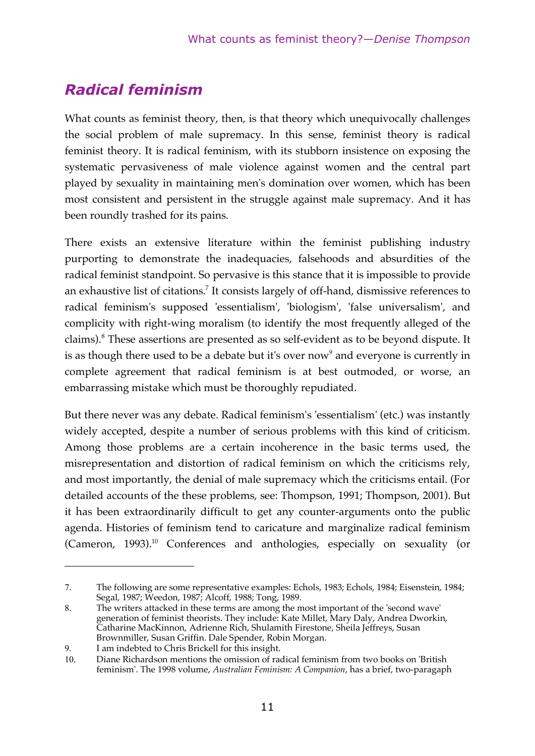# *Radical feminism*

What counts as feminist theory, then, is that theory which unequivocally challenges the social problem of male supremacy. In this sense, feminist theory is radical feminist theory. It is radical feminism, with its stubborn insistence on exposing the systematic pervasiveness of male violence against women and the central part played by sexuality in maintaining men's domination over women, which has been most consistent and persistent in the struggle against male supremacy. And it has been roundly trashed for its pains.

There exists an extensive literature within the feminist publishing industry purporting to demonstrate the inadequacies, falsehoods and absurdities of the radical feminist standpoint. So pervasive is this stance that it is impossible to provide an exhaustive list of citations.<sup>7</sup> It consists largely of off-hand, dismissive references to radical feminism's supposed 'essentialism', 'biologism', 'false universalism', and complicity with right-wing moralism (to identify the most frequently alleged of the claims).<sup>8</sup> These assertions are presented as so self-evident as to be beyond dispute. It is as though there used to be a debate but it's over now<sup>9</sup> and everyone is currently in complete agreement that radical feminism is at best outmoded, or worse, an embarrassing mistake which must be thoroughly repudiated.

But there never was any debate. Radical feminism's 'essentialism' (etc.) was instantly widely accepted, despite a number of serious problems with this kind of criticism. Among those problems are a certain incoherence in the basic terms used, the misrepresentation and distortion of radical feminism on which the criticisms rely, and most importantly, the denial of male supremacy which the criticisms entail. (For detailed accounts of the these problems, see: Thompson, 1991; Thompson, 2001). But it has been extraordinarily difficult to get any counter-arguments onto the public agenda. Histories of feminism tend to caricature and marginalize radical feminism (Cameron, 1993).<sup>10</sup> Conferences and anthologies, especially on sexuality (or

<u>.</u>

<sup>7</sup>. The following are some representative examples: Echols, 1983; Echols, 1984; Eisenstein, 1984; Segal, 1987; Weedon, 1987; Alcoff, 1988; Tong, 1989.

<sup>8</sup>. The writers attacked in these terms are among the most important of the 'second wave' generation of feminist theorists. They include: Kate Millet, Mary Daly, Andrea Dworkin, Catharine MacKinnon, Adrienne Rich, Shulamith Firestone, Sheila Jeffreys, Susan Brownmiller, Susan Griffin. Dale Spender, Robin Morgan.

<sup>9</sup>. I am indebted to Chris Brickell for this insight.

<sup>10</sup>. Diane Richardson mentions the omission of radical feminism from two books on 'British feminism'. The 1998 volume, *Australian Feminism: A Companion*, has a brief, two-paragaph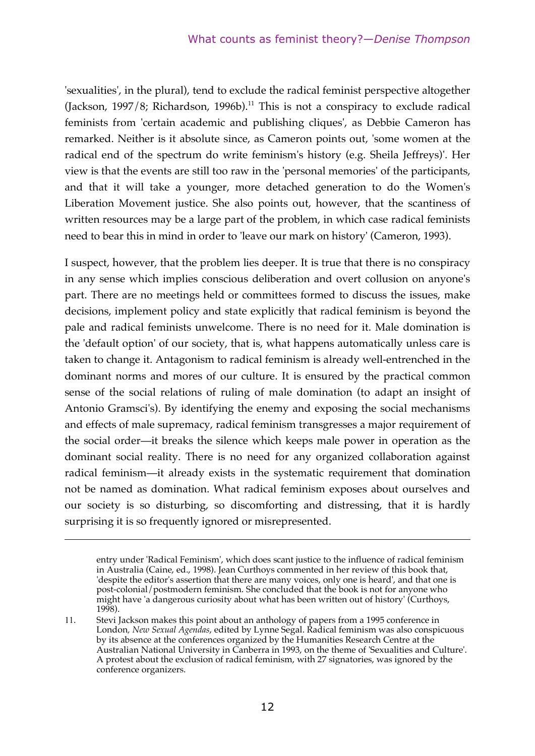'sexualities', in the plural), tend to exclude the radical feminist perspective altogether (Jackson, 1997/8; Richardson, 1996b).<sup>11</sup> This is not a conspiracy to exclude radical feminists from 'certain academic and publishing cliques', as Debbie Cameron has remarked. Neither is it absolute since, as Cameron points out, 'some women at the radical end of the spectrum do write feminism's history (e.g. Sheila Jeffreys)'. Her view is that the events are still too raw in the 'personal memories' of the participants, and that it will take a younger, more detached generation to do the Women's Liberation Movement justice. She also points out, however, that the scantiness of written resources may be a large part of the problem, in which case radical feminists need to bear this in mind in order to 'leave our mark on history' (Cameron, 1993).

I suspect, however, that the problem lies deeper. It is true that there is no conspiracy in any sense which implies conscious deliberation and overt collusion on anyone's part. There are no meetings held or committees formed to discuss the issues, make decisions, implement policy and state explicitly that radical feminism is beyond the pale and radical feminists unwelcome. There is no need for it. Male domination is the 'default option' of our society, that is, what happens automatically unless care is taken to change it. Antagonism to radical feminism is already well-entrenched in the dominant norms and mores of our culture. It is ensured by the practical common sense of the social relations of ruling of male domination (to adapt an insight of Antonio Gramsci's). By identifying the enemy and exposing the social mechanisms and effects of male supremacy, radical feminism transgresses a major requirement of the social order—it breaks the silence which keeps male power in operation as the dominant social reality. There is no need for any organized collaboration against radical feminism—it already exists in the systematic requirement that domination not be named as domination. What radical feminism exposes about ourselves and our society is so disturbing, so discomforting and distressing, that it is hardly surprising it is so frequently ignored or misrepresented.

1

entry under 'Radical Feminism', which does scant justice to the influence of radical feminism in Australia (Caine, ed., 1998). Jean Curthoys commented in her review of this book that, 'despite the editor's assertion that there are many voices, only one is heard', and that one is post-colonial/postmodern feminism. She concluded that the book is not for anyone who might have 'a dangerous curiosity about what has been written out of history' (Curthoys, 1998).

<sup>11</sup>. Stevi Jackson makes this point about an anthology of papers from a 1995 conference in London*, New Sexual Agendas*, edited by Lynne Segal. Radical feminism was also conspicuous by its absence at the conferences organized by the Humanities Research Centre at the Australian National University in Canberra in 1993, on the theme of 'Sexualities and Culture'. A protest about the exclusion of radical feminism, with 27 signatories, was ignored by the conference organizers.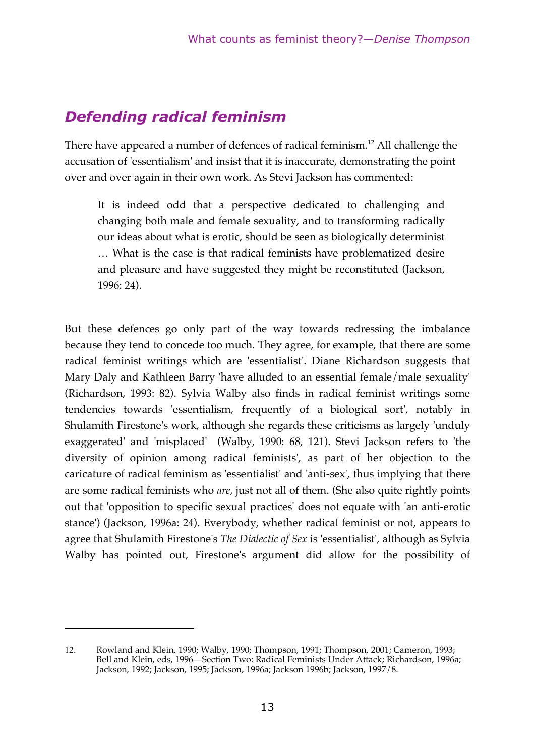# *Defending radical feminism*

There have appeared a number of defences of radical feminism. $^{12}$  All challenge the accusation of 'essentialism' and insist that it is inaccurate, demonstrating the point over and over again in their own work. As Stevi Jackson has commented:

It is indeed odd that a perspective dedicated to challenging and changing both male and female sexuality, and to transforming radically our ideas about what is erotic, should be seen as biologically determinist … What is the case is that radical feminists have problematized desire and pleasure and have suggested they might be reconstituted (Jackson, 1996: 24).

But these defences go only part of the way towards redressing the imbalance because they tend to concede too much. They agree, for example, that there are some radical feminist writings which are 'essentialist'. Diane Richardson suggests that Mary Daly and Kathleen Barry 'have alluded to an essential female/male sexuality' (Richardson, 1993: 82). Sylvia Walby also finds in radical feminist writings some tendencies towards 'essentialism, frequently of a biological sort', notably in Shulamith Firestone's work, although she regards these criticisms as largely 'unduly exaggerated' and 'misplaced' (Walby, 1990: 68, 121). Stevi Jackson refers to 'the diversity of opinion among radical feminists', as part of her objection to the caricature of radical feminism as 'essentialist' and 'anti-sex', thus implying that there are some radical feminists who *are*, just not all of them. (She also quite rightly points out that 'opposition to specific sexual practices' does not equate with 'an anti-erotic stance') (Jackson, 1996a: 24). Everybody, whether radical feminist or not, appears to agree that Shulamith Firestone's *The Dialectic of Sex* is 'essentialist', although as Sylvia Walby has pointed out, Firestone's argument did allow for the possibility of

1

<sup>12</sup>. Rowland and Klein, 1990; Walby, 1990; Thompson, 1991; Thompson, 2001; Cameron, 1993; Bell and Klein, eds, 1996—Section Two: Radical Feminists Under Attack; Richardson, 1996a; Jackson, 1992; Jackson, 1995; Jackson, 1996a; Jackson 1996b; Jackson, 1997/8.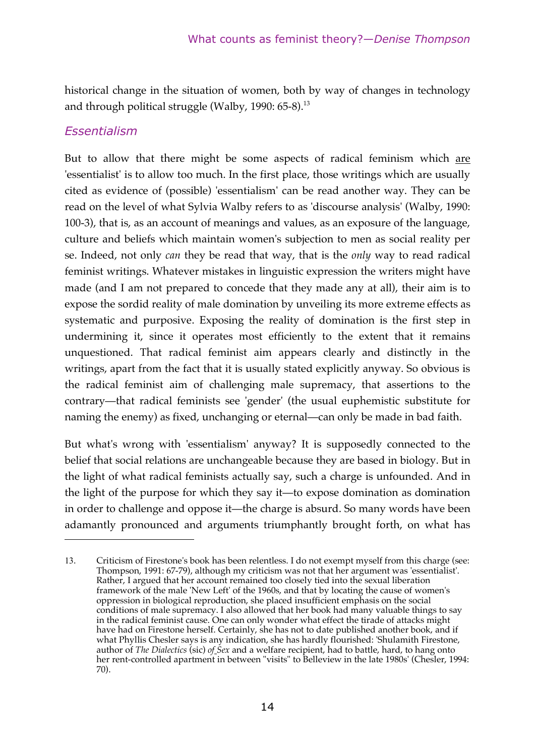historical change in the situation of women, both by way of changes in technology and through political struggle (Walby, 1990: 65-8).<sup>13</sup>

#### *Essentialism*

1

But to allow that there might be some aspects of radical feminism which are 'essentialist' is to allow too much. In the first place, those writings which are usually cited as evidence of (possible) 'essentialism' can be read another way. They can be read on the level of what Sylvia Walby refers to as 'discourse analysis' (Walby, 1990: 100-3), that is, as an account of meanings and values, as an exposure of the language, culture and beliefs which maintain women's subjection to men as social reality per se. Indeed, not only *can* they be read that way, that is the *only* way to read radical feminist writings. Whatever mistakes in linguistic expression the writers might have made (and I am not prepared to concede that they made any at all), their aim is to expose the sordid reality of male domination by unveiling its more extreme effects as systematic and purposive. Exposing the reality of domination is the first step in undermining it, since it operates most efficiently to the extent that it remains unquestioned. That radical feminist aim appears clearly and distinctly in the writings, apart from the fact that it is usually stated explicitly anyway. So obvious is the radical feminist aim of challenging male supremacy, that assertions to the contrary—that radical feminists see 'gender' (the usual euphemistic substitute for naming the enemy) as fixed, unchanging or eternal—can only be made in bad faith.

But what's wrong with 'essentialism' anyway? It is supposedly connected to the belief that social relations are unchangeable because they are based in biology. But in the light of what radical feminists actually say, such a charge is unfounded. And in the light of the purpose for which they say it—to expose domination as domination in order to challenge and oppose it—the charge is absurd. So many words have been adamantly pronounced and arguments triumphantly brought forth, on what has

<sup>13</sup>. Criticism of Firestone's book has been relentless. I do not exempt myself from this charge (see: Thompson, 1991: 67-79), although my criticism was not that her argument was 'essentialist'. Rather, I argued that her account remained too closely tied into the sexual liberation framework of the male 'New Left' of the 1960s, and that by locating the cause of women's oppression in biological reproduction, she placed insufficient emphasis on the social conditions of male supremacy. I also allowed that her book had many valuable things to say in the radical feminist cause. One can only wonder what effect the tirade of attacks might have had on Firestone herself. Certainly, she has not to date published another book, and if what Phyllis Chesler says is any indication, she has hardly flourished: 'Shulamith Firestone, author of *The Dialectics* (sic) *of Sex* and a welfare recipient, had to battle, hard, to hang onto her rent-controlled apartment in between "visits" to Belleview in the late 1980s' (Chesler, 1994: 70).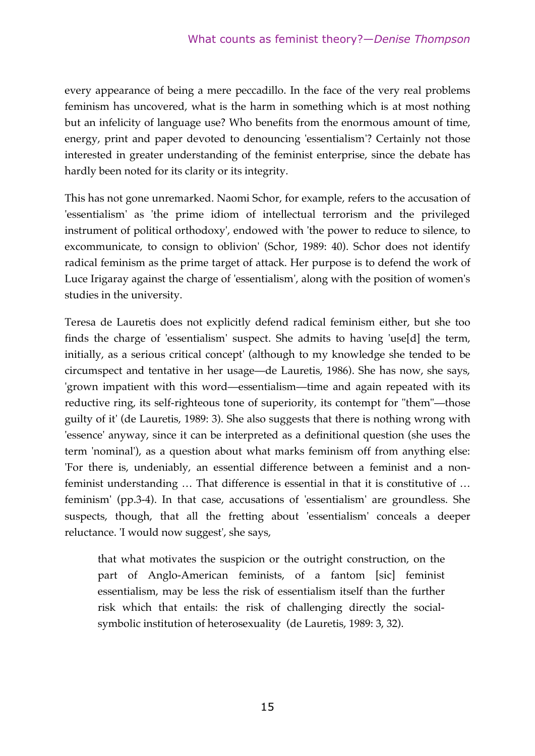every appearance of being a mere peccadillo. In the face of the very real problems feminism has uncovered, what is the harm in something which is at most nothing but an infelicity of language use? Who benefits from the enormous amount of time, energy, print and paper devoted to denouncing 'essentialism'? Certainly not those interested in greater understanding of the feminist enterprise, since the debate has hardly been noted for its clarity or its integrity.

This has not gone unremarked. Naomi Schor, for example, refers to the accusation of 'essentialism' as 'the prime idiom of intellectual terrorism and the privileged instrument of political orthodoxy', endowed with 'the power to reduce to silence, to excommunicate, to consign to oblivion' (Schor, 1989: 40). Schor does not identify radical feminism as the prime target of attack. Her purpose is to defend the work of Luce Irigaray against the charge of 'essentialism', along with the position of women's studies in the university.

Teresa de Lauretis does not explicitly defend radical feminism either, but she too finds the charge of 'essentialism' suspect. She admits to having 'use[d] the term, initially, as a serious critical concept' (although to my knowledge she tended to be circumspect and tentative in her usage—de Lauretis, 1986). She has now, she says, 'grown impatient with this word—essentialism—time and again repeated with its reductive ring, its self-righteous tone of superiority, its contempt for "them"—those guilty of it' (de Lauretis, 1989: 3). She also suggests that there is nothing wrong with 'essence' anyway, since it can be interpreted as a definitional question (she uses the term 'nominal'), as a question about what marks feminism off from anything else: 'For there is, undeniably, an essential difference between a feminist and a nonfeminist understanding … That difference is essential in that it is constitutive of … feminism' (pp.3-4). In that case, accusations of 'essentialism' are groundless. She suspects, though, that all the fretting about 'essentialism' conceals a deeper reluctance. 'I would now suggest', she says,

that what motivates the suspicion or the outright construction, on the part of Anglo-American feminists, of a fantom [sic] feminist essentialism, may be less the risk of essentialism itself than the further risk which that entails: the risk of challenging directly the socialsymbolic institution of heterosexuality (de Lauretis, 1989: 3, 32).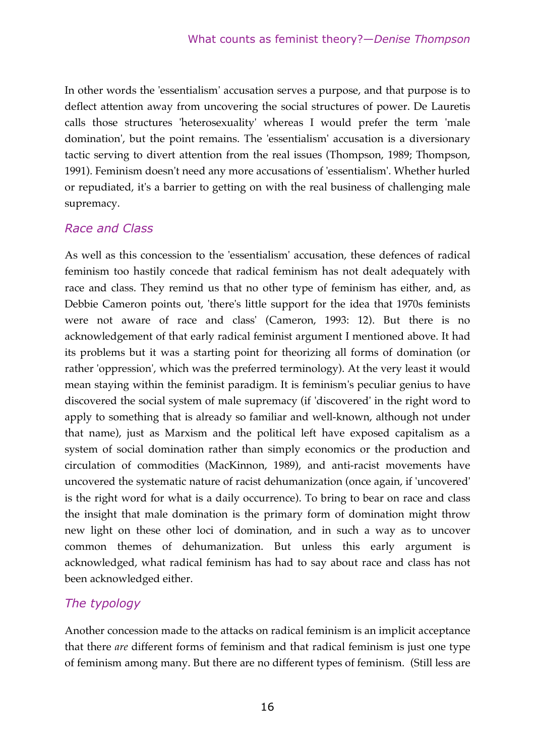In other words the 'essentialism' accusation serves a purpose, and that purpose is to deflect attention away from uncovering the social structures of power. De Lauretis calls those structures 'heterosexuality' whereas I would prefer the term 'male domination', but the point remains. The 'essentialism' accusation is a diversionary tactic serving to divert attention from the real issues (Thompson, 1989; Thompson, 1991). Feminism doesn't need any more accusations of 'essentialism'. Whether hurled or repudiated, it's a barrier to getting on with the real business of challenging male supremacy.

#### *Race and Class*

As well as this concession to the 'essentialism' accusation, these defences of radical feminism too hastily concede that radical feminism has not dealt adequately with race and class. They remind us that no other type of feminism has either, and, as Debbie Cameron points out, 'there's little support for the idea that 1970s feminists were not aware of race and class' (Cameron, 1993: 12). But there is no acknowledgement of that early radical feminist argument I mentioned above. It had its problems but it was a starting point for theorizing all forms of domination (or rather 'oppression', which was the preferred terminology). At the very least it would mean staying within the feminist paradigm. It is feminism's peculiar genius to have discovered the social system of male supremacy (if 'discovered' in the right word to apply to something that is already so familiar and well-known, although not under that name), just as Marxism and the political left have exposed capitalism as a system of social domination rather than simply economics or the production and circulation of commodities (MacKinnon, 1989), and anti-racist movements have uncovered the systematic nature of racist dehumanization (once again, if 'uncovered' is the right word for what is a daily occurrence). To bring to bear on race and class the insight that male domination is the primary form of domination might throw new light on these other loci of domination, and in such a way as to uncover common themes of dehumanization. But unless this early argument is acknowledged, what radical feminism has had to say about race and class has not been acknowledged either.

#### *The typology*

Another concession made to the attacks on radical feminism is an implicit acceptance that there *are* different forms of feminism and that radical feminism is just one type of feminism among many. But there are no different types of feminism. (Still less are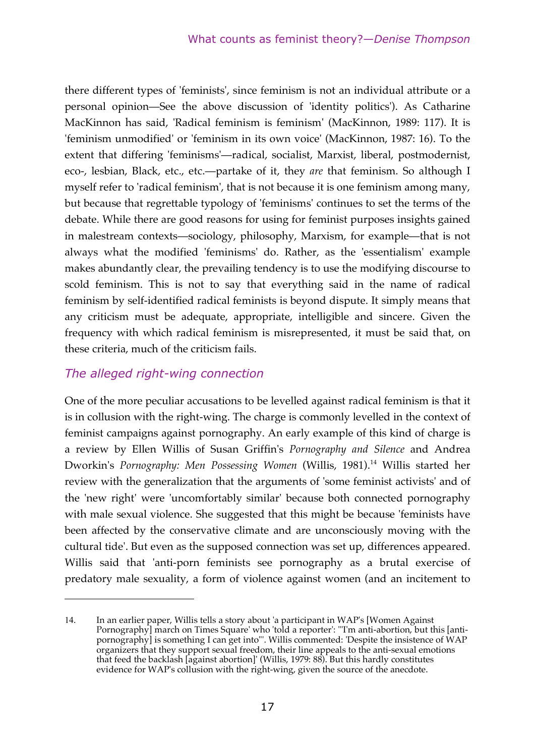there different types of 'feminists', since feminism is not an individual attribute or a personal opinion—See the above discussion of 'identity politics'). As Catharine MacKinnon has said, 'Radical feminism is feminism' (MacKinnon, 1989: 117). It is 'feminism unmodified' or 'feminism in its own voice' (MacKinnon, 1987: 16). To the extent that differing 'feminisms'—radical, socialist, Marxist, liberal, postmodernist, eco-, lesbian, Black, etc., etc.—partake of it, they *are* that feminism. So although I myself refer to 'radical feminism', that is not because it is one feminism among many, but because that regrettable typology of 'feminisms' continues to set the terms of the debate. While there are good reasons for using for feminist purposes insights gained in malestream contexts—sociology, philosophy, Marxism, for example—that is not always what the modified 'feminisms' do. Rather, as the 'essentialism' example makes abundantly clear, the prevailing tendency is to use the modifying discourse to scold feminism. This is not to say that everything said in the name of radical feminism by self-identified radical feminists is beyond dispute. It simply means that any criticism must be adequate, appropriate, intelligible and sincere. Given the frequency with which radical feminism is misrepresented, it must be said that, on these criteria, much of the criticism fails.

#### *The alleged right-wing connection*

1

One of the more peculiar accusations to be levelled against radical feminism is that it is in collusion with the right-wing. The charge is commonly levelled in the context of feminist campaigns against pornography. An early example of this kind of charge is a review by Ellen Willis of Susan Griffin's *Pornography and Silence* and Andrea Dworkin's *Pornography: Men Possessing Women* (Willis, 1981).<sup>14</sup> Willis started her review with the generalization that the arguments of 'some feminist activists' and of the 'new right' were 'uncomfortably similar' because both connected pornography with male sexual violence. She suggested that this might be because 'feminists have been affected by the conservative climate and are unconsciously moving with the cultural tide'. But even as the supposed connection was set up, differences appeared. Willis said that 'anti-porn feminists see pornography as a brutal exercise of predatory male sexuality, a form of violence against women (and an incitement to

<sup>14</sup>. In an earlier paper, Willis tells a story about 'a participant in WAP's [Women Against Pornography] march on Times Square' who 'told a reporter': '"I'm anti-abortion, but this [antipornography] is something I can get into"'. Willis commented: 'Despite the insistence of WAP organizers that they support sexual freedom, their line appeals to the anti-sexual emotions that feed the backlash [against abortion]' (Willis, 1979: 88). But this hardly constitutes evidence for WAP's collusion with the right-wing, given the source of the anecdote.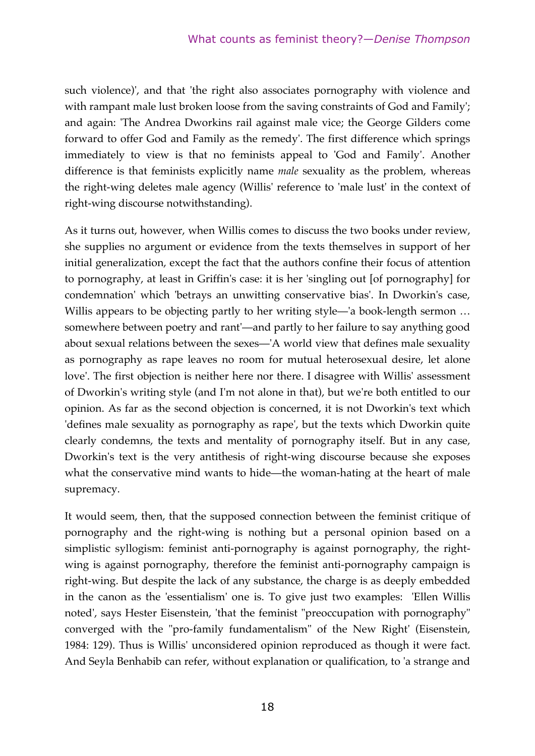such violence)', and that 'the right also associates pornography with violence and with rampant male lust broken loose from the saving constraints of God and Family'; and again: 'The Andrea Dworkins rail against male vice; the George Gilders come forward to offer God and Family as the remedy'. The first difference which springs immediately to view is that no feminists appeal to 'God and Family'. Another difference is that feminists explicitly name *male* sexuality as the problem, whereas the right-wing deletes male agency (Willis' reference to 'male lust' in the context of right-wing discourse notwithstanding).

As it turns out, however, when Willis comes to discuss the two books under review, she supplies no argument or evidence from the texts themselves in support of her initial generalization, except the fact that the authors confine their focus of attention to pornography, at least in Griffin's case: it is her 'singling out [of pornography] for condemnation' which 'betrays an unwitting conservative bias'. In Dworkin's case, Willis appears to be objecting partly to her writing style—'a book-length sermon ... somewhere between poetry and rant'—and partly to her failure to say anything good about sexual relations between the sexes—'A world view that defines male sexuality as pornography as rape leaves no room for mutual heterosexual desire, let alone love'. The first objection is neither here nor there. I disagree with Willis' assessment of Dworkin's writing style (and I'm not alone in that), but we're both entitled to our opinion. As far as the second objection is concerned, it is not Dworkin's text which 'defines male sexuality as pornography as rape', but the texts which Dworkin quite clearly condemns, the texts and mentality of pornography itself. But in any case, Dworkin's text is the very antithesis of right-wing discourse because she exposes what the conservative mind wants to hide—the woman-hating at the heart of male supremacy.

It would seem, then, that the supposed connection between the feminist critique of pornography and the right-wing is nothing but a personal opinion based on a simplistic syllogism: feminist anti-pornography is against pornography, the rightwing is against pornography, therefore the feminist anti-pornography campaign is right-wing. But despite the lack of any substance, the charge is as deeply embedded in the canon as the 'essentialism' one is. To give just two examples: 'Ellen Willis noted', says Hester Eisenstein, 'that the feminist "preoccupation with pornography" converged with the "pro-family fundamentalism" of the New Right' (Eisenstein, 1984: 129). Thus is Willis' unconsidered opinion reproduced as though it were fact. And Seyla Benhabib can refer, without explanation or qualification, to 'a strange and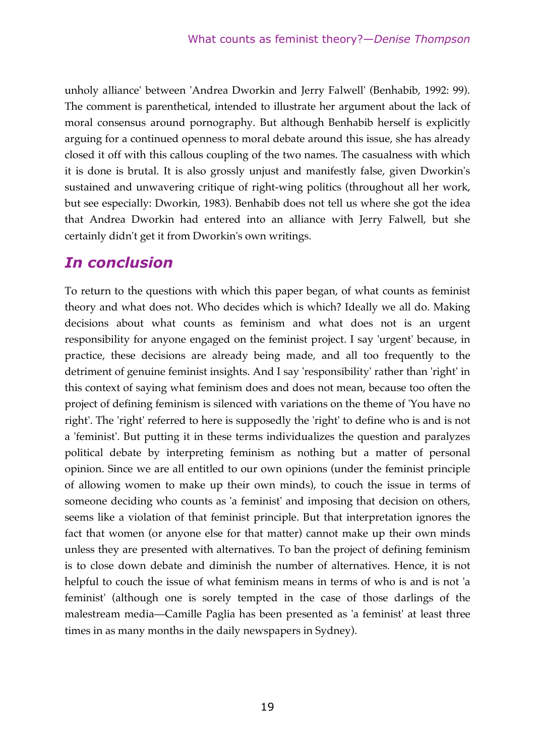unholy alliance' between 'Andrea Dworkin and Jerry Falwell' (Benhabib, 1992: 99). The comment is parenthetical, intended to illustrate her argument about the lack of moral consensus around pornography. But although Benhabib herself is explicitly arguing for a continued openness to moral debate around this issue, she has already closed it off with this callous coupling of the two names. The casualness with which it is done is brutal. It is also grossly unjust and manifestly false, given Dworkin's sustained and unwavering critique of right-wing politics (throughout all her work, but see especially: Dworkin, 1983). Benhabib does not tell us where she got the idea that Andrea Dworkin had entered into an alliance with Jerry Falwell, but she certainly didn't get it from Dworkin's own writings.

# *In conclusion*

To return to the questions with which this paper began, of what counts as feminist theory and what does not. Who decides which is which? Ideally we all do. Making decisions about what counts as feminism and what does not is an urgent responsibility for anyone engaged on the feminist project. I say 'urgent' because, in practice, these decisions are already being made, and all too frequently to the detriment of genuine feminist insights. And I say 'responsibility' rather than 'right' in this context of saying what feminism does and does not mean, because too often the project of defining feminism is silenced with variations on the theme of 'You have no right'. The 'right' referred to here is supposedly the 'right' to define who is and is not a 'feminist'. But putting it in these terms individualizes the question and paralyzes political debate by interpreting feminism as nothing but a matter of personal opinion. Since we are all entitled to our own opinions (under the feminist principle of allowing women to make up their own minds), to couch the issue in terms of someone deciding who counts as 'a feminist' and imposing that decision on others, seems like a violation of that feminist principle. But that interpretation ignores the fact that women (or anyone else for that matter) cannot make up their own minds unless they are presented with alternatives. To ban the project of defining feminism is to close down debate and diminish the number of alternatives. Hence, it is not helpful to couch the issue of what feminism means in terms of who is and is not 'a feminist' (although one is sorely tempted in the case of those darlings of the malestream media—Camille Paglia has been presented as 'a feminist' at least three times in as many months in the daily newspapers in Sydney).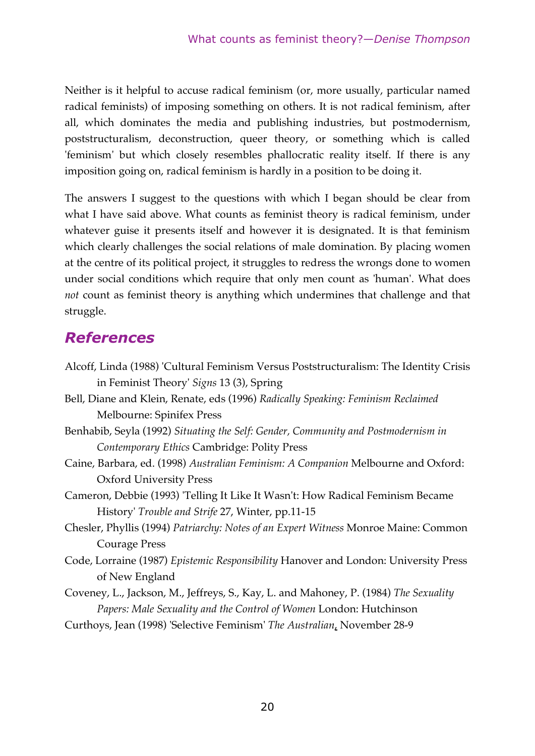Neither is it helpful to accuse radical feminism (or, more usually, particular named radical feminists) of imposing something on others. It is not radical feminism, after all, which dominates the media and publishing industries, but postmodernism, poststructuralism, deconstruction, queer theory, or something which is called 'feminism' but which closely resembles phallocratic reality itself. If there is any imposition going on, radical feminism is hardly in a position to be doing it.

The answers I suggest to the questions with which I began should be clear from what I have said above. What counts as feminist theory is radical feminism, under whatever guise it presents itself and however it is designated. It is that feminism which clearly challenges the social relations of male domination. By placing women at the centre of its political project, it struggles to redress the wrongs done to women under social conditions which require that only men count as 'human'. What does *not* count as feminist theory is anything which undermines that challenge and that struggle.

# *References*

| Alcoff, Linda (1988) 'Cultural Feminism Versus Poststructuralism: The Identity Crisis |
|---------------------------------------------------------------------------------------|
| in Feminist Theory' Signs 13 (3), Spring                                              |
| Bell, Diane and Klein, Renate, eds (1996) Radically Speaking: Feminism Reclaimed      |
| Melbourne: Spinifex Press                                                             |
| Benhabib, Seyla (1992) Situating the Self: Gender, Community and Postmodernism in     |
| Contemporary Ethics Cambridge: Polity Press                                           |
| Caine, Barbara, ed. (1998) Australian Feminism: A Companion Melbourne and Oxford:     |
| <b>Oxford University Press</b>                                                        |
| Cameron, Debbie (1993) 'Telling It Like It Wasn't: How Radical Feminism Became        |
| History' Trouble and Strife 27, Winter, pp.11-15                                      |
| Chesler, Phyllis (1994) Patriarchy: Notes of an Expert Witness Monroe Maine: Common   |
| Courage Press                                                                         |
| Code, Lorraine (1987) Epistemic Responsibility Hanover and London: University Press   |
| of New England                                                                        |
| Coveney, L., Jackson, M., Jeffreys, S., Kay, L. and Mahoney, P. (1984) The Sexuality  |
| Papers: Male Sexuality and the Control of Women London: Hutchinson                    |
| Curthoys, Jean (1998) 'Selective Feminism' The Australian, November 28-9              |
|                                                                                       |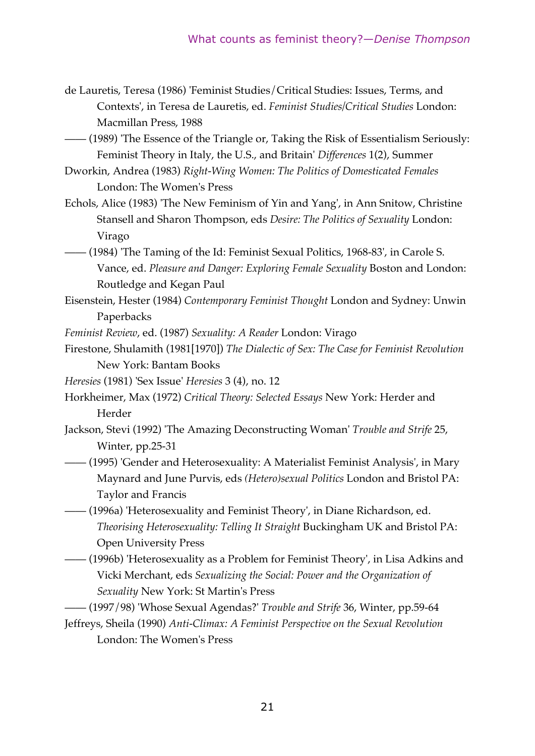de Lauretis, Teresa (1986) 'Feminist Studies/Critical Studies: Issues, Terms, and Contexts', in Teresa de Lauretis, ed. *Feminist Studies/Critical Studies* London: Macmillan Press, 1988

—— (1989) 'The Essence of the Triangle or, Taking the Risk of Essentialism Seriously: Feminist Theory in Italy, the U.S., and Britain' *Differences* 1(2), Summer

- Dworkin, Andrea (1983) *Right-Wing Women: The Politics of Domesticated Females* London: The Women's Press
- Echols, Alice (1983) 'The New Feminism of Yin and Yang', in Ann Snitow, Christine Stansell and Sharon Thompson, eds *Desire: The Politics of Sexuality* London: Virago
- —— (1984) 'The Taming of the Id: Feminist Sexual Politics, 1968-83', in Carole S. Vance, ed. *Pleasure and Danger: Exploring Female Sexuality* Boston and London: Routledge and Kegan Paul
- Eisenstein, Hester (1984) *Contemporary Feminist Thought* London and Sydney: Unwin Paperbacks

*Feminist Review*, ed. (1987) *Sexuality: A Reader* London: Virago

- Firestone, Shulamith (1981[1970]) *The Dialectic of Sex: The Case for Feminist Revolution* New York: Bantam Books
- *Heresies* (1981) 'Sex Issue' *Heresies* 3 (4), no. 12
- Horkheimer, Max (1972) *Critical Theory: Selected Essays* New York: Herder and Herder
- Jackson, Stevi (1992) 'The Amazing Deconstructing Woman' *Trouble and Strife* 25, Winter, pp.25-31
- —— (1995) 'Gender and Heterosexuality: A Materialist Feminist Analysis', in Mary Maynard and June Purvis, eds *(Hetero)sexual Politics* London and Bristol PA: Taylor and Francis
- —— (1996a) 'Heterosexuality and Feminist Theory', in Diane Richardson, ed. *Theorising Heterosexuality: Telling It Straight* Buckingham UK and Bristol PA: Open University Press
- —— (1996b) 'Heterosexuality as a Problem for Feminist Theory', in Lisa Adkins and Vicki Merchant, eds *Sexualizing the Social: Power and the Organization of Sexuality* New York: St Martin's Press
- —— (1997/98) 'Whose Sexual Agendas?' *Trouble and Strife* 36, Winter, pp.59-64
- Jeffreys, Sheila (1990) *Anti-Climax: A Feminist Perspective on the Sexual Revolution* London: The Women's Press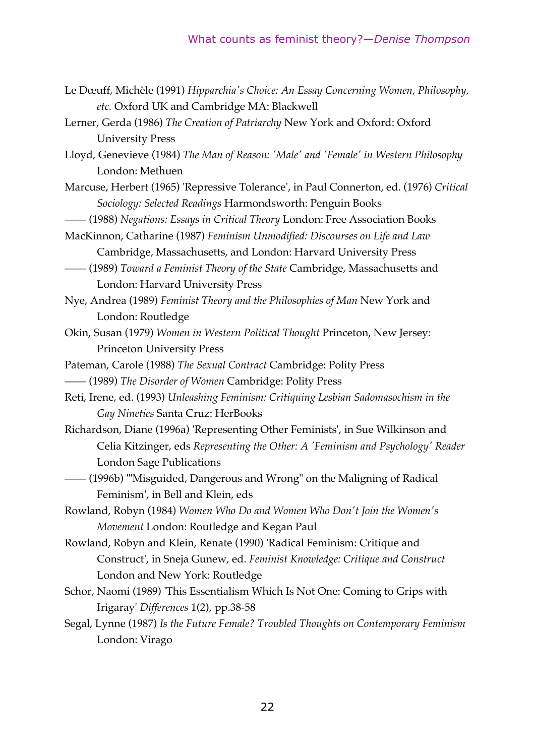- Le Dœuff, Michèle (1991) *Hipparchia's Choice: An Essay Concerning Women, Philosophy, etc.* Oxford UK and Cambridge MA: Blackwell
- Lerner, Gerda (1986) *The Creation of Patriarchy* New York and Oxford: Oxford University Press
- Lloyd, Genevieve (1984) *The Man of Reason: 'Male' and 'Female' in Western Philosophy* London: Methuen
- Marcuse, Herbert (1965) 'Repressive Tolerance', in Paul Connerton, ed. (1976) *Critical Sociology: Selected Readings* Harmondsworth: Penguin Books
- —— (1988) *Negations: Essays in Critical Theory* London: Free Association Books
- MacKinnon, Catharine (1987) *Feminism Unmodified: Discourses on Life and Law* Cambridge, Massachusetts, and London: Harvard University Press
- —— (1989) *Toward a Feminist Theory of the State* Cambridge, Massachusetts and London: Harvard University Press
- Nye, Andrea (1989) *Feminist Theory and the Philosophies of Man* New York and London: Routledge
- Okin, Susan (1979) *Women in Western Political Thought* Princeton, New Jersey: Princeton University Press
- Pateman, Carole (1988) *The Sexual Contract* Cambridge: Polity Press —— (1989) *The Disorder of Women* Cambridge: Polity Press
- Reti, Irene, ed. (1993) *Unleashing Feminism: Critiquing Lesbian Sadomasochism in the Gay Nineties* Santa Cruz: HerBooks
- Richardson, Diane (1996a) 'Representing Other Feminists', in Sue Wilkinson and Celia Kitzinger, eds *Representing the Other: A 'Feminism and Psychology' Reader* London Sage Publications
- —— (1996b) '"Misguided, Dangerous and Wrong" on the Maligning of Radical Feminism', in Bell and Klein, eds
- Rowland, Robyn (1984) *Women Who Do and Women Who Don't Join the Women's Movement* London: Routledge and Kegan Paul
- Rowland, Robyn and Klein, Renate (1990) 'Radical Feminism: Critique and Construct', in Sneja Gunew, ed. *Feminist Knowledge: Critique and Construct* London and New York: Routledge
- Schor, Naomi (1989) 'This Essentialism Which Is Not One: Coming to Grips with Irigaray' *Differences* 1(2), pp.38-58
- Segal, Lynne (1987) *Is the Future Female? Troubled Thoughts on Contemporary Feminism* London: Virago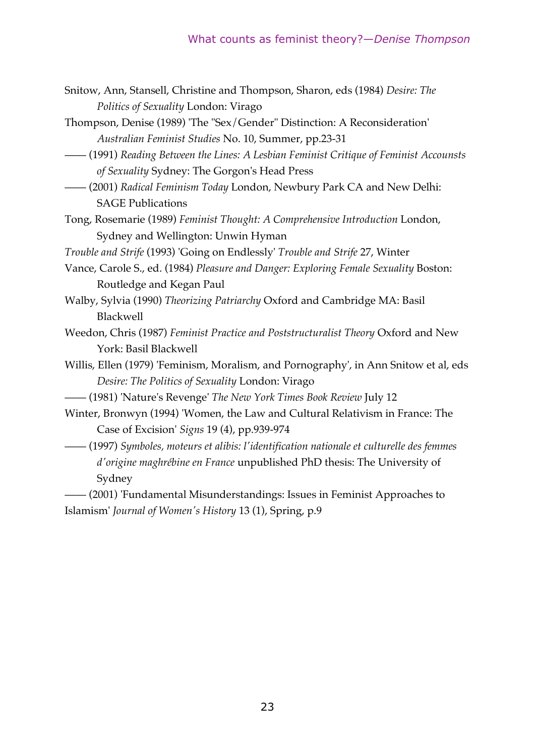- Snitow, Ann, Stansell, Christine and Thompson, Sharon, eds (1984) *Desire: The Politics of Sexuality* London: Virago
- Thompson, Denise (1989) 'The "Sex/Gender" Distinction: A Reconsideration' *Australian Feminist Studies* No. 10, Summer, pp.23-31
- —— (1991) *Reading Between the Lines: A Lesbian Feminist Critique of Feminist Accounsts of Sexuality* Sydney: The Gorgon's Head Press
- —— (2001) *Radical Feminism Today* London, Newbury Park CA and New Delhi: SAGE Publications
- Tong, Rosemarie (1989) *Feminist Thought: A Comprehensive Introduction* London, Sydney and Wellington: Unwin Hyman
- *Trouble and Strife* (1993) 'Going on Endlessly' *Trouble and Strife* 27, Winter
- Vance, Carole S., ed. (1984) *Pleasure and Danger: Exploring Female Sexuality* Boston: Routledge and Kegan Paul
- Walby, Sylvia (1990) *Theorizing Patriarchy* Oxford and Cambridge MA: Basil Blackwell
- Weedon, Chris (1987) *Feminist Practice and Poststructuralist Theory* Oxford and New York: Basil Blackwell
- Willis, Ellen (1979) 'Feminism, Moralism, and Pornography', in Ann Snitow et al, eds *Desire: The Politics of Sexuality* London: Virago
- —— (1981) 'Nature's Revenge' *The New York Times Book Review* July 12
- Winter, Bronwyn (1994) 'Women, the Law and Cultural Relativism in France: The Case of Excision' *Signs* 19 (4), pp.939-974
- —— (1997) *Symboles, moteurs et alibis: l'identification nationale et culturelle des femmes d'origine maghrébine en France* unpublished PhD thesis: The University of Sydney

—— (2001) 'Fundamental Misunderstandings: Issues in Feminist Approaches to Islamism' *Journal of Women's History* 13 (1), Spring, p.9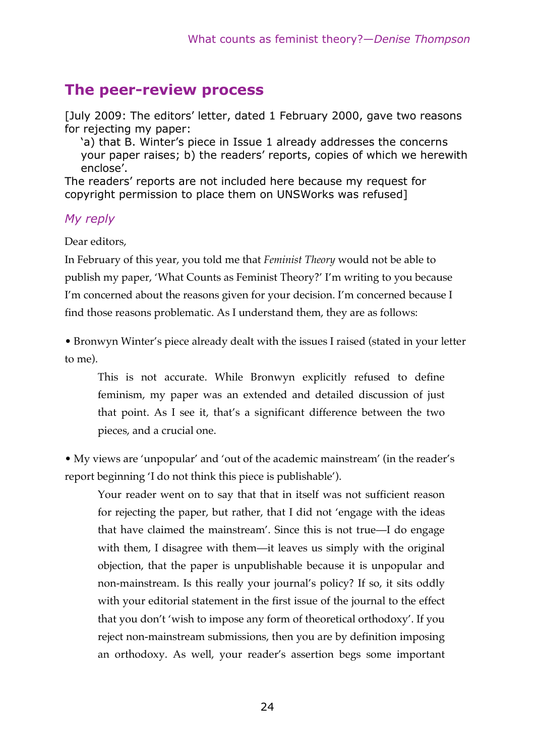## **The peer-review process**

[July 2009: The editors' letter, dated 1 February 2000, gave two reasons for rejecting my paper:

'a) that B. Winter's piece in Issue 1 already addresses the concerns your paper raises; b) the readers' reports, copies of which we herewith enclose'.

The readers' reports are not included here because my request for copyright permission to place them on UNSWorks was refused]

#### *My reply*

Dear editors,

In February of this year, you told me that *Feminist Theory* would not be able to publish my paper, 'What Counts as Feminist Theory?' I'm writing to you because I'm concerned about the reasons given for your decision. I'm concerned because I find those reasons problematic. As I understand them, they are as follows:

• Bronwyn Winter's piece already dealt with the issues I raised (stated in your letter to me).

This is not accurate. While Bronwyn explicitly refused to define feminism, my paper was an extended and detailed discussion of just that point. As I see it, that's a significant difference between the two pieces, and a crucial one.

• My views are 'unpopular' and 'out of the academic mainstream' (in the reader's report beginning 'I do not think this piece is publishable').

Your reader went on to say that that in itself was not sufficient reason for rejecting the paper, but rather, that I did not 'engage with the ideas that have claimed the mainstream'. Since this is not true—I do engage with them, I disagree with them—it leaves us simply with the original objection, that the paper is unpublishable because it is unpopular and non-mainstream. Is this really your journal's policy? If so, it sits oddly with your editorial statement in the first issue of the journal to the effect that you don't 'wish to impose any form of theoretical orthodoxy'. If you reject non-mainstream submissions, then you are by definition imposing an orthodoxy. As well, your reader's assertion begs some important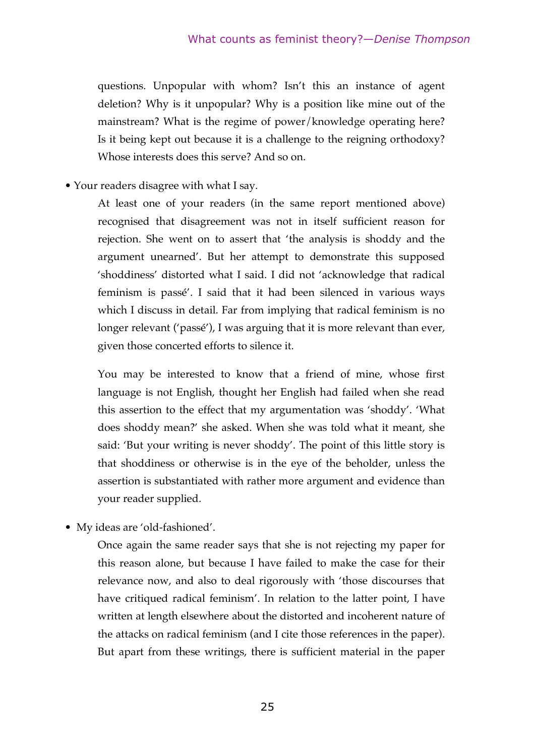questions. Unpopular with whom? Isn't this an instance of agent deletion? Why is it unpopular? Why is a position like mine out of the mainstream? What is the regime of power/knowledge operating here? Is it being kept out because it is a challenge to the reigning orthodoxy? Whose interests does this serve? And so on.

• Your readers disagree with what I say.

At least one of your readers (in the same report mentioned above) recognised that disagreement was not in itself sufficient reason for rejection. She went on to assert that 'the analysis is shoddy and the argument unearned'. But her attempt to demonstrate this supposed 'shoddiness' distorted what I said. I did not 'acknowledge that radical feminism is passé'. I said that it had been silenced in various ways which I discuss in detail. Far from implying that radical feminism is no longer relevant ('passé'), I was arguing that it is more relevant than ever, given those concerted efforts to silence it.

You may be interested to know that a friend of mine, whose first language is not English, thought her English had failed when she read this assertion to the effect that my argumentation was 'shoddy'. 'What does shoddy mean?' she asked. When she was told what it meant, she said: 'But your writing is never shoddy'. The point of this little story is that shoddiness or otherwise is in the eye of the beholder, unless the assertion is substantiated with rather more argument and evidence than your reader supplied.

• My ideas are 'old-fashioned'.

Once again the same reader says that she is not rejecting my paper for this reason alone, but because I have failed to make the case for their relevance now, and also to deal rigorously with 'those discourses that have critiqued radical feminism'. In relation to the latter point, I have written at length elsewhere about the distorted and incoherent nature of the attacks on radical feminism (and I cite those references in the paper). But apart from these writings, there is sufficient material in the paper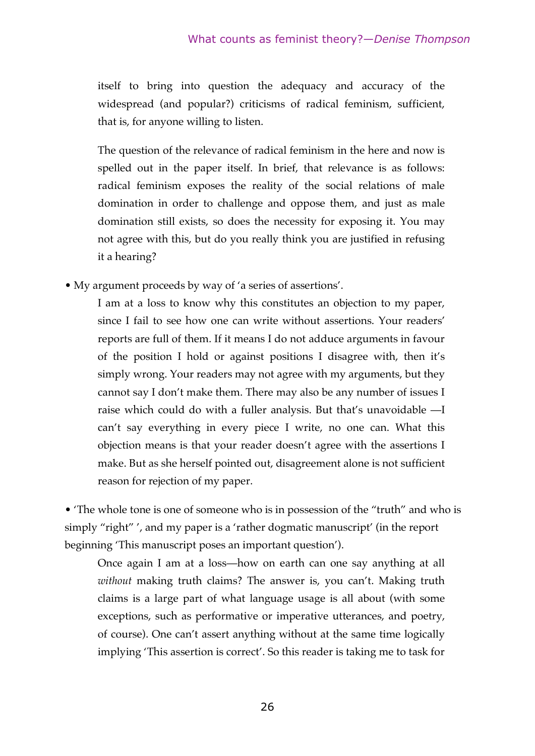itself to bring into question the adequacy and accuracy of the widespread (and popular?) criticisms of radical feminism, sufficient, that is, for anyone willing to listen.

The question of the relevance of radical feminism in the here and now is spelled out in the paper itself. In brief, that relevance is as follows: radical feminism exposes the reality of the social relations of male domination in order to challenge and oppose them, and just as male domination still exists, so does the necessity for exposing it. You may not agree with this, but do you really think you are justified in refusing it a hearing?

• My argument proceeds by way of 'a series of assertions'.

I am at a loss to know why this constitutes an objection to my paper, since I fail to see how one can write without assertions. Your readers' reports are full of them. If it means I do not adduce arguments in favour of the position I hold or against positions I disagree with, then it's simply wrong. Your readers may not agree with my arguments, but they cannot say I don't make them. There may also be any number of issues I raise which could do with a fuller analysis. But that's unavoidable —I can't say everything in every piece I write, no one can. What this objection means is that your reader doesn't agree with the assertions I make. But as she herself pointed out, disagreement alone is not sufficient reason for rejection of my paper.

• 'The whole tone is one of someone who is in possession of the "truth" and who is simply "right" ', and my paper is a 'rather dogmatic manuscript' (in the report beginning 'This manuscript poses an important question').

Once again I am at a loss—how on earth can one say anything at all *without* making truth claims? The answer is, you can't. Making truth claims is a large part of what language usage is all about (with some exceptions, such as performative or imperative utterances, and poetry, of course). One can't assert anything without at the same time logically implying 'This assertion is correct'. So this reader is taking me to task for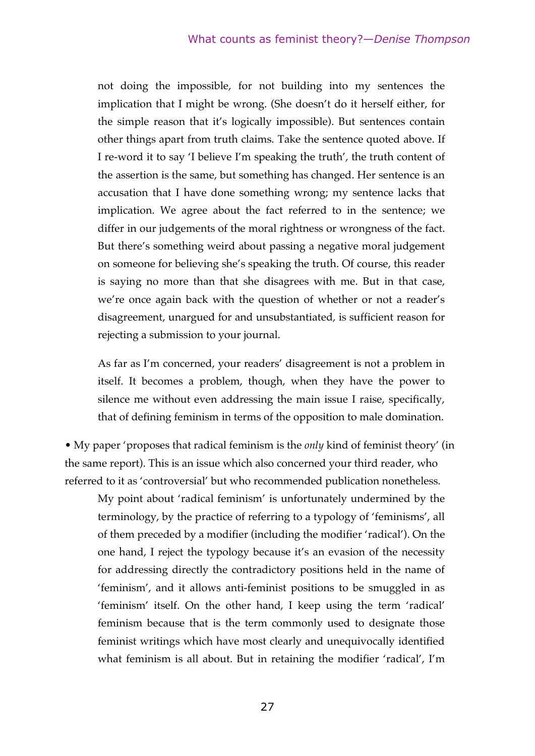not doing the impossible, for not building into my sentences the implication that I might be wrong. (She doesn't do it herself either, for the simple reason that it's logically impossible). But sentences contain other things apart from truth claims. Take the sentence quoted above. If I re-word it to say 'I believe I'm speaking the truth', the truth content of the assertion is the same, but something has changed. Her sentence is an accusation that I have done something wrong; my sentence lacks that implication. We agree about the fact referred to in the sentence; we differ in our judgements of the moral rightness or wrongness of the fact. But there's something weird about passing a negative moral judgement on someone for believing she's speaking the truth. Of course, this reader is saying no more than that she disagrees with me. But in that case, we're once again back with the question of whether or not a reader's disagreement, unargued for and unsubstantiated, is sufficient reason for rejecting a submission to your journal.

As far as I'm concerned, your readers' disagreement is not a problem in itself. It becomes a problem, though, when they have the power to silence me without even addressing the main issue I raise, specifically, that of defining feminism in terms of the opposition to male domination.

• My paper 'proposes that radical feminism is the *only* kind of feminist theory' (in the same report). This is an issue which also concerned your third reader, who referred to it as 'controversial' but who recommended publication nonetheless.

My point about 'radical feminism' is unfortunately undermined by the terminology, by the practice of referring to a typology of 'feminisms', all of them preceded by a modifier (including the modifier 'radical'). On the one hand, I reject the typology because it's an evasion of the necessity for addressing directly the contradictory positions held in the name of 'feminism', and it allows anti-feminist positions to be smuggled in as 'feminism' itself. On the other hand, I keep using the term 'radical' feminism because that is the term commonly used to designate those feminist writings which have most clearly and unequivocally identified what feminism is all about. But in retaining the modifier 'radical', I'm